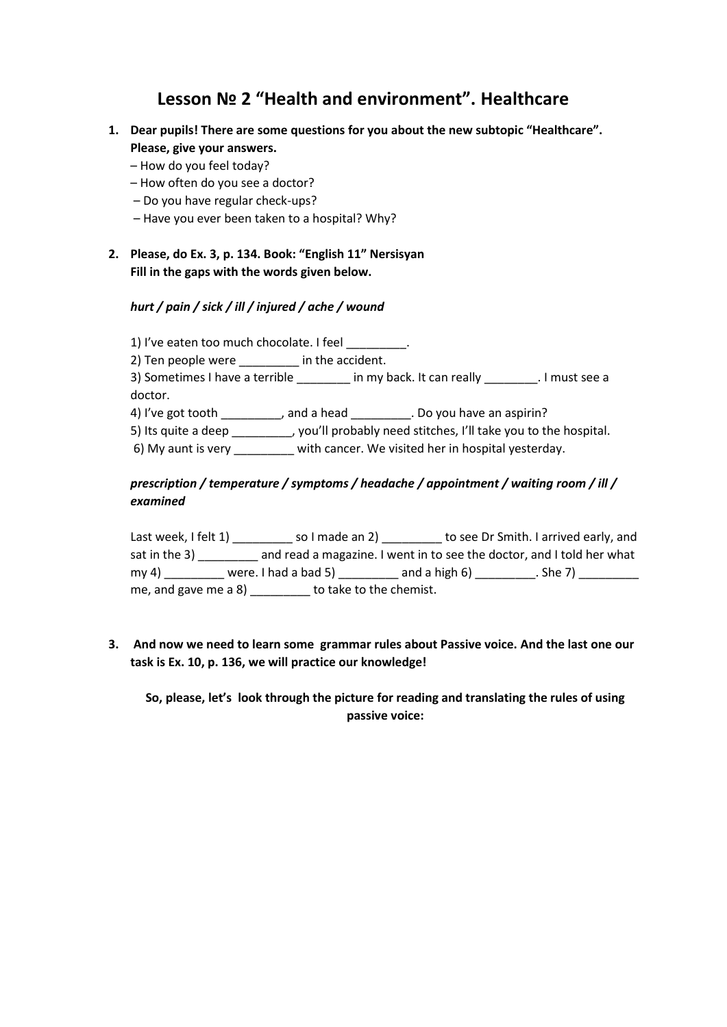## **Lesson № 2 "Health and environment". Healthcare**

- **1. Dear pupils! There are some questions for you about the new subtopic "Healthcare". Please, give your answers.**
	- How do you feel today?
	- How often do you see a doctor?
	- Do you have regular check-ups?
	- Have you ever been taken to a hospital? Why?
- **2. Please, do Ex. 3, p. 134. Book: "English 11" Nersisyan Fill in the gaps with the words given below.**

## *hurt / pain / sick / ill / injured / ache / wound*

1) I've eaten too much chocolate. I feel

2) Ten people were **a** in the accident.

3) Sometimes I have a terrible \_\_\_\_\_\_\_\_ in my back. It can really \_\_\_\_\_\_\_\_. I must see a doctor.

4) I've got tooth \_\_\_\_\_\_\_\_, and a head \_\_\_\_\_\_\_\_. Do you have an aspirin?

5) Its quite a deep \_\_\_\_\_\_\_\_\_, you'll probably need stitches, I'll take you to the hospital.

6) My aunt is very with cancer. We visited her in hospital yesterday.

## *prescription / temperature / symptoms / headache / appointment / waiting room / ill / examined*

Last week, I felt 1) \_\_\_\_\_\_\_\_\_\_ so I made an 2) \_\_\_\_\_\_\_\_\_ to see Dr Smith. I arrived early, and sat in the 3) \_\_\_\_\_\_\_\_\_ and read a magazine. I went in to see the doctor, and I told her what my 4) \_\_\_\_\_\_\_\_ were. I had a bad 5) \_\_\_\_\_\_\_\_\_\_ and a high 6) \_\_\_\_\_\_\_\_\_\_. She 7) \_\_\_\_\_\_\_\_\_\_ me, and gave me a 8) \_\_\_\_\_\_\_\_\_ to take to the chemist.

**3. And now we need to learn some grammar rules about Passive voice. And the last one our task is Ex. 10, p. 136, we will practice our knowledge!**

**So, please, let's look through the picture for reading and translating the rules of using passive voice:**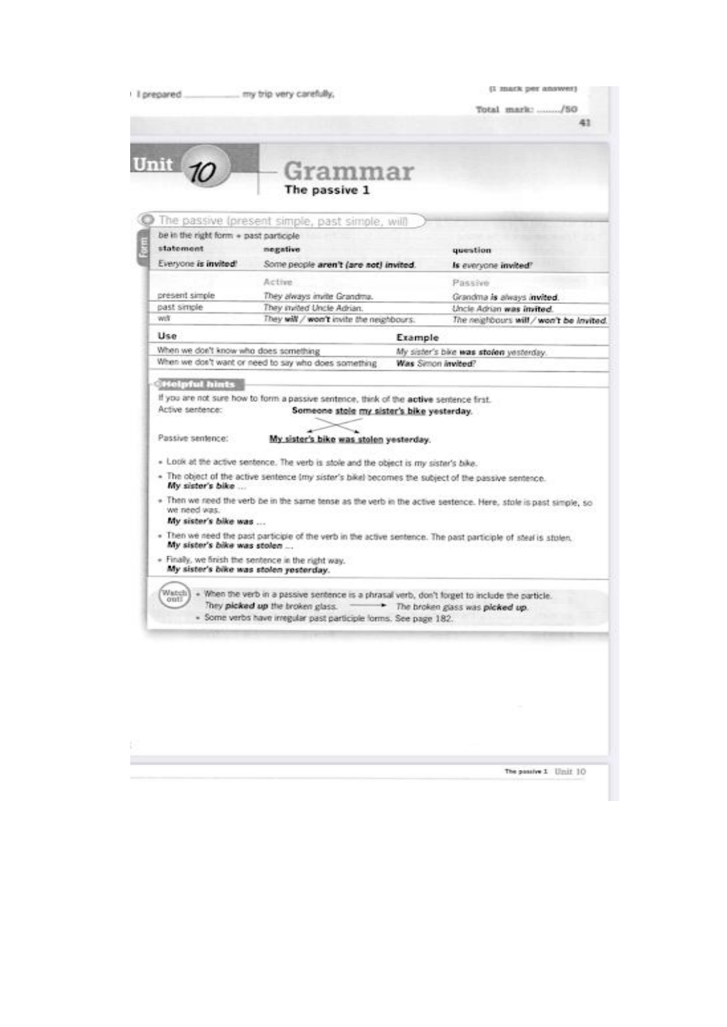|                                       | The passive 1                                                                                                   |                                         |
|---------------------------------------|-----------------------------------------------------------------------------------------------------------------|-----------------------------------------|
|                                       | The passive (present simple, past simple, will                                                                  |                                         |
| be in the right form + past particule |                                                                                                                 |                                         |
| statement                             | negative                                                                                                        | question                                |
| Everyone is invited!                  | Some people aren't (are not) invited.                                                                           | Is everyone invited?                    |
|                                       | Active.                                                                                                         | Passive                                 |
| présent simple                        | They always invite Grandma.                                                                                     | Grandma is always invited.              |
| past simple                           | They invited Uncle Adrian.                                                                                      | Uncle Adrian was invited.               |
| with                                  | They will / won't invite the neighbours.                                                                        | The neighbours will / won't be invited. |
| Use                                   | Example                                                                                                         |                                         |
| When we don't know who does something |                                                                                                                 | My sister's bike was stolen yesterday.  |
|                                       | When we don't want or need to say who does something                                                            | Was Simon invited?                      |
| Passive sentence:                     | My sister's bike was stolen yesterday.                                                                          |                                         |
|                                       | . Look at the active sentence. The verb is stole and the object is my sister's bike.                            |                                         |
|                                       | . The object of the active sentence (my sister's bike) becomes the subject of the passive sentence.             |                                         |
| My sister's bike                      |                                                                                                                 |                                         |
| we need was.<br>My sister's bike was  | . Then we need the verb be in the same tense as the verb in the active sextence. Here, stole is past simple, so |                                         |
| mly sister's bike was stolen          | . Then we need the past participie of the verb in the active sentence. The past participle of steal is stolen.  |                                         |
|                                       | . Finally, we finish the sentence in the right way.<br>mly sister's bike was stolen vesterday.                  |                                         |

B 

The passive 1 Unit 10